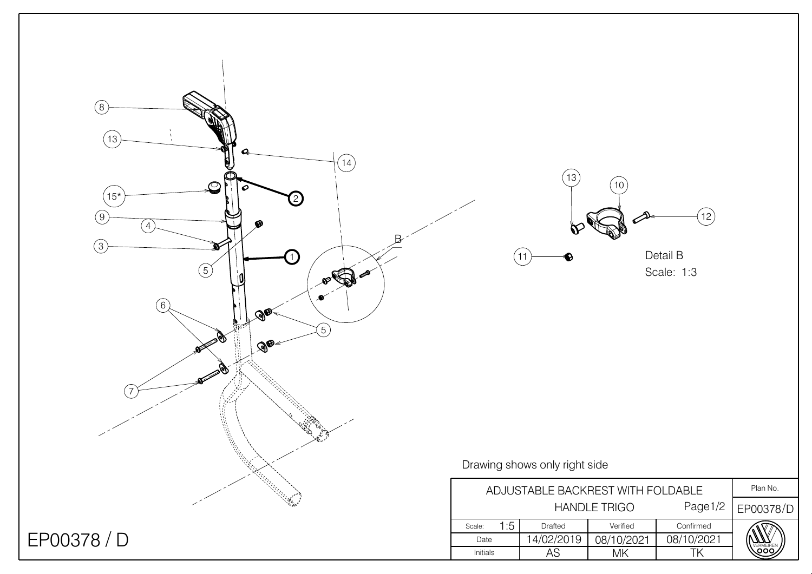